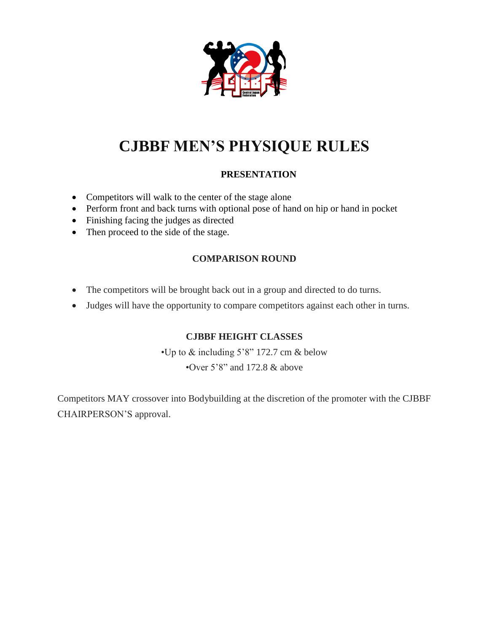

# **CJBBF MEN'S PHYSIQUE RULES**

### **PRESENTATION**

- Competitors will walk to the center of the stage alone
- Perform front and back turns with optional pose of hand on hip or hand in pocket
- Finishing facing the judges as directed
- Then proceed to the side of the stage.

#### **COMPARISON ROUND**

- The competitors will be brought back out in a group and directed to do turns.
- Judges will have the opportunity to compare competitors against each other in turns.

#### **CJBBF HEIGHT CLASSES**

•Up to & including 5'8" 172.7 cm & below

•Over 5'8" and 172.8 & above

Competitors MAY crossover into Bodybuilding at the discretion of the promoter with the CJBBF CHAIRPERSON'S approval.